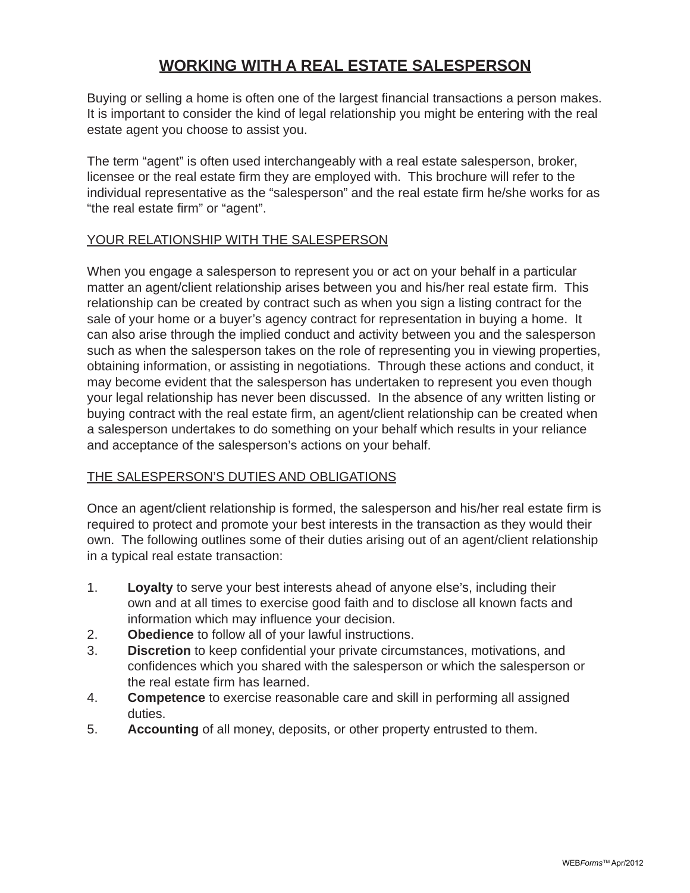# **WORKING WITH A REAL ESTATE SALESPERSON**

Buying or selling a home is often one of the largest financial transactions a person makes. It is important to consider the kind of legal relationship you might be entering with the real estate agent you choose to assist you.

The term "agent" is often used interchangeably with a real estate salesperson, broker, licensee or the real estate firm they are employed with. This brochure will refer to the individual representative as the "salesperson" and the real estate firm he/she works for as "the real estate firm" or "agent".

# YOUR RELATIONSHIP WITH THE SALESPERSON

When you engage a salesperson to represent you or act on your behalf in a particular matter an agent/client relationship arises between you and his/her real estate firm. This relationship can be created by contract such as when you sign a listing contract for the sale of your home or a buyer's agency contract for representation in buying a home. It can also arise through the implied conduct and activity between you and the salesperson such as when the salesperson takes on the role of representing you in viewing properties, obtaining information, or assisting in negotiations. Through these actions and conduct, it may become evident that the salesperson has undertaken to represent you even though your legal relationship has never been discussed. In the absence of any written listing or buying contract with the real estate firm, an agent/client relationship can be created when a salesperson undertakes to do something on your behalf which results in your reliance and acceptance of the salesperson's actions on your behalf.

# THE SALESPERSON'S DUTIES AND OBLIGATIONS

Once an agent/client relationship is formed, the salesperson and his/her real estate firm is required to protect and promote your best interests in the transaction as they would their own. The following outlines some of their duties arising out of an agent/client relationship in a typical real estate transaction:

- 1. **Loyalty** to serve your best interests ahead of anyone else's, including their own and at all times to exercise good faith and to disclose all known facts and information which may influence your decision.
- 2. **Obedience** to follow all of your lawful instructions.
- 3. **Discretion** to keep confidential your private circumstances, motivations, and confidences which you shared with the salesperson or which the salesperson or the real estate firm has learned.
- 4. **Competence** to exercise reasonable care and skill in performing all assigned duties.
- 5. **Accounting** of all money, deposits, or other property entrusted to them.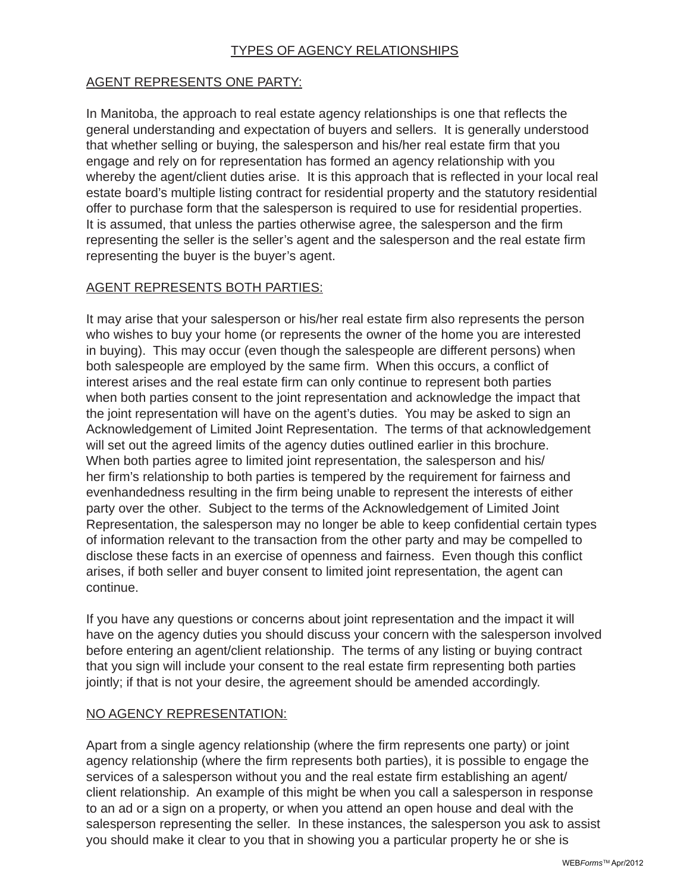# TYPES OF AGENCY RELATIONSHIPS

# AGENT REPRESENTS ONE PARTY:

In Manitoba, the approach to real estate agency relationships is one that reflects the general understanding and expectation of buyers and sellers. It is generally understood that whether selling or buying, the salesperson and his/her real estate firm that you engage and rely on for representation has formed an agency relationship with you whereby the agent/client duties arise. It is this approach that is reflected in your local real estate board's multiple listing contract for residential property and the statutory residential offer to purchase form that the salesperson is required to use for residential properties. It is assumed, that unless the parties otherwise agree, the salesperson and the firm representing the seller is the seller's agent and the salesperson and the real estate firm representing the buyer is the buyer's agent.

# AGENT REPRESENTS BOTH PARTIES:

It may arise that your salesperson or his/her real estate firm also represents the person who wishes to buy your home (or represents the owner of the home you are interested in buying). This may occur (even though the salespeople are different persons) when both salespeople are employed by the same firm. When this occurs, a conflict of interest arises and the real estate firm can only continue to represent both parties when both parties consent to the joint representation and acknowledge the impact that the joint representation will have on the agent's duties. You may be asked to sign an Acknowledgement of Limited Joint Representation. The terms of that acknowledgement will set out the agreed limits of the agency duties outlined earlier in this brochure. When both parties agree to limited joint representation, the salesperson and his/ her firm's relationship to both parties is tempered by the requirement for fairness and evenhandedness resulting in the firm being unable to represent the interests of either party over the other. Subject to the terms of the Acknowledgement of Limited Joint Representation, the salesperson may no longer be able to keep confidential certain types of information relevant to the transaction from the other party and may be compelled to disclose these facts in an exercise of openness and fairness. Even though this conflict arises, if both seller and buyer consent to limited joint representation, the agent can continue.

If you have any questions or concerns about joint representation and the impact it will have on the agency duties you should discuss your concern with the salesperson involved before entering an agent/client relationship. The terms of any listing or buying contract that you sign will include your consent to the real estate firm representing both parties jointly; if that is not your desire, the agreement should be amended accordingly.

#### NO AGENCY REPRESENTATION:

Apart from a single agency relationship (where the firm represents one party) or joint agency relationship (where the firm represents both parties), it is possible to engage the services of a salesperson without you and the real estate firm establishing an agent/ client relationship. An example of this might be when you call a salesperson in response to an ad or a sign on a property, or when you attend an open house and deal with the salesperson representing the seller. In these instances, the salesperson you ask to assist you should make it clear to you that in showing you a particular property he or she is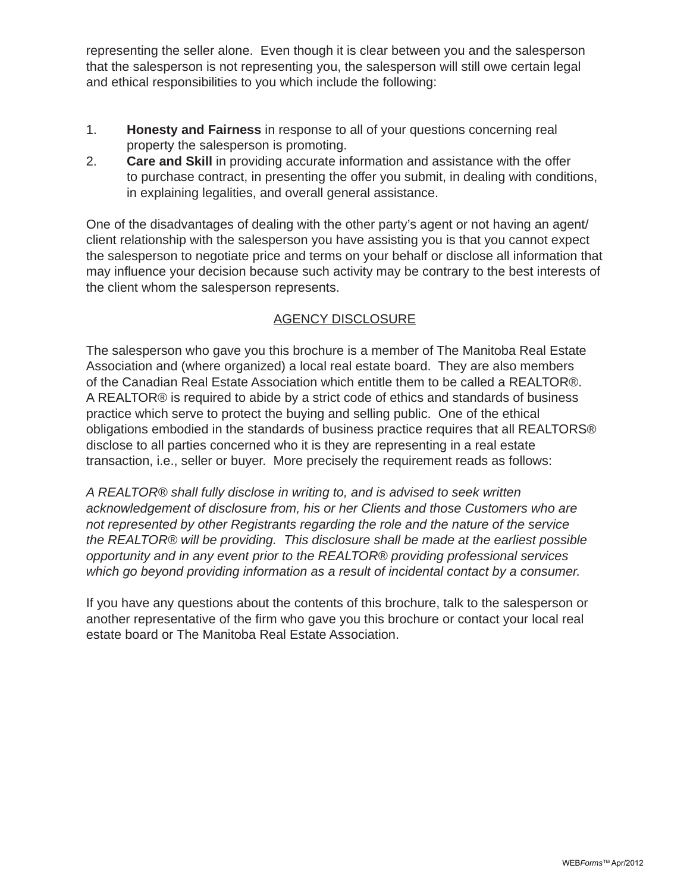representing the seller alone. Even though it is clear between you and the salesperson that the salesperson is not representing you, the salesperson will still owe certain legal and ethical responsibilities to you which include the following:

- 1. **Honesty and Fairness** in response to all of your questions concerning real property the salesperson is promoting.
- 2. **Care and Skill** in providing accurate information and assistance with the offer to purchase contract, in presenting the offer you submit, in dealing with conditions, in explaining legalities, and overall general assistance.

One of the disadvantages of dealing with the other party's agent or not having an agent/ client relationship with the salesperson you have assisting you is that you cannot expect the salesperson to negotiate price and terms on your behalf or disclose all information that may influence your decision because such activity may be contrary to the best interests of the client whom the salesperson represents.

# AGENCY DISCLOSURE

The salesperson who gave you this brochure is a member of The Manitoba Real Estate Association and (where organized) a local real estate board. They are also members of the Canadian Real Estate Association which entitle them to be called a REALTOR®. A REALTOR® is required to abide by a strict code of ethics and standards of business practice which serve to protect the buying and selling public. One of the ethical obligations embodied in the standards of business practice requires that all REALTORS® disclose to all parties concerned who it is they are representing in a real estate transaction, i.e., seller or buyer. More precisely the requirement reads as follows:

*A REALTOR® shall fully disclose in writing to, and is advised to seek written acknowledgement of disclosure from, his or her Clients and those Customers who are not represented by other Registrants regarding the role and the nature of the service the REALTOR® will be providing. This disclosure shall be made at the earliest possible opportunity and in any event prior to the REALTOR® providing professional services which go beyond providing information as a result of incidental contact by a consumer.* 

If you have any questions about the contents of this brochure, talk to the salesperson or another representative of the firm who gave you this brochure or contact your local real estate board or The Manitoba Real Estate Association.